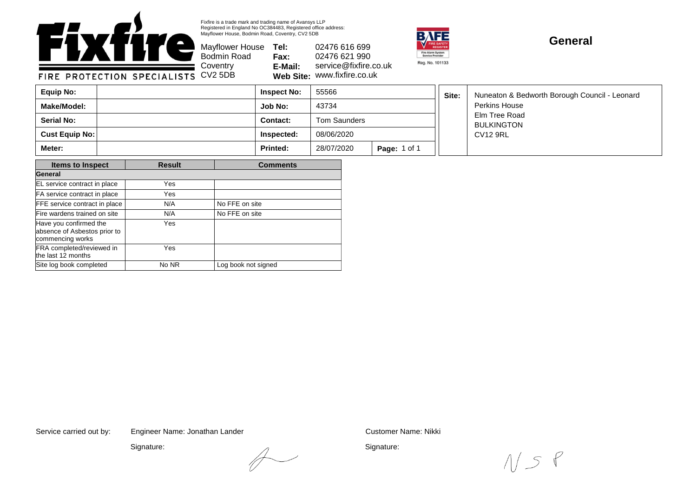

Fixfire is a trade mark and trading name of Avansys LLP Registered in England No OC384483, Registered office address: Mayflower House, Bodmin Road, Coventry, CV2 5DB

Bodmin Road **Coventry** 

Mayflower House **Tel: Fax: E-Mail: Web Site:** www.fixfire.co.uk 02476 616 699 02476 621 990 service@fixfire.co.uk



## **General**

FIRE PROTECTION SPECIALISTS CV2 5DB

| Equip No:         | <b>Inspect No:</b> | 55566        |                     | Site: | Nuneaton & Bedworth Borough Council - Leonard<br>Perkins House |
|-------------------|--------------------|--------------|---------------------|-------|----------------------------------------------------------------|
| Make/Model:       | <b>Job No:</b>     | 43734        |                     |       |                                                                |
| <b>Serial No:</b> | Contact:           | Tom Saunders |                     |       | Elm Tree Road<br><b>BULKINGTON</b>                             |
| Cust Equip No:    | Inspected:         | 08/06/2020   |                     |       | <b>CV12 9RL</b>                                                |
| Meter:            | <b>Printed:</b>    | 28/07/2020   | <b>Page: 1 of 1</b> |       |                                                                |

| <b>Items to Inspect</b>                                                    | <b>Result</b> | <b>Comments</b>     |  |  |
|----------------------------------------------------------------------------|---------------|---------------------|--|--|
| General                                                                    |               |                     |  |  |
| EL service contract in place                                               | Yes           |                     |  |  |
| FA service contract in place                                               | Yes           |                     |  |  |
| FFE service contract in place                                              | N/A           | No FFE on site      |  |  |
| Fire wardens trained on site                                               | N/A           | No FFE on site      |  |  |
| Have you confirmed the<br>absence of Asbestos prior to<br>commencing works | Yes           |                     |  |  |
| FRA completed/reviewed in<br>the last 12 months                            | Yes           |                     |  |  |
| Site log book completed                                                    | No NR         | Log book not signed |  |  |

Service carried out by: Customer Name: Nikki Engineer Name: Jonathan Lander

Signature:

Signature:

 $1/s$ 

 $\overline{\leftarrow}$